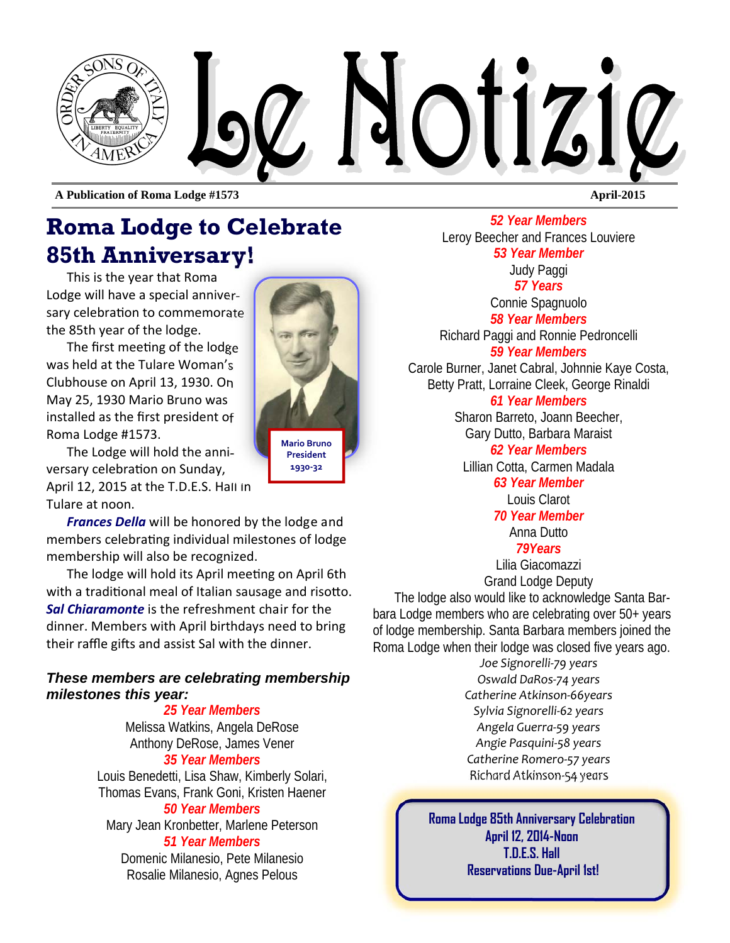

**A Publication of Roma Lodge #1573 April-2015** 

## **Roma Lodge to Celebrate 85th Anniversary!**

This is the year that Roma Lodge will have a special anniversary celebration to commemorate the 85th year of the lodge.

The first meeting of the lodge was held at the Tulare Woman's Clubhouse on April 13, 1930. On May 25, 1930 Mario Bruno was installed as the first president of Roma Lodge #1573.

The Lodge will hold the anniversary celebration on Sunday, April 12, 2015 at the T.D.E.S. Hall in Tulare at noon.

*Frances Della* will be honored by the lodge and members celebrating individual milestones of lodge membership will also be recognized.

The lodge will hold its April meeting on April 6th with a traditional meal of Italian sausage and risotto. *Sal Chiaramonte* is the refreshment chair for the dinner. Members with April birthdays need to bring their raffle gifts and assist Sal with the dinner.

#### *These members are celebrating membership milestones this year:*

*25 Year Members*  Melissa Watkins, Angela DeRose Anthony DeRose, James Vener *35 Year Members*  Louis Benedetti, Lisa Shaw, Kimberly Solari,

Thomas Evans, Frank Goni, Kristen Haener *50 Year Members* 

Mary Jean Kronbetter, Marlene Peterson *51 Year Members* 

Domenic Milanesio, Pete Milanesio Rosalie Milanesio, Agnes Pelous

**Mario Bruno President** 

**1930‐32** 

*52 Year Members*  Leroy Beecher and Frances Louviere *53 Year Member*  Judy Paggi *57 Years*  Connie Spagnuolo *58 Year Members*  Richard Paggi and Ronnie Pedroncelli *59 Year Members* Carole Burner, Janet Cabral, Johnnie Kaye Costa, Betty Pratt, Lorraine Cleek, George Rinaldi *61 Year Members*  Sharon Barreto, Joann Beecher, Gary Dutto, Barbara Maraist *62 Year Members* 

Lillian Cotta, Carmen Madala

*63 Year Member*  Louis Clarot

*70 Year Member*  Anna Dutto

*79Years* 

Lilia Giacomazzi Grand Lodge Deputy

The lodge also would like to acknowledge Santa Barbara Lodge members who are celebrating over 50+ years of lodge membership. Santa Barbara members joined the Roma Lodge when their lodge was closed five years ago.

*Joe Signorelli‐79 years Oswald DaRos‐74 years Catherine Atkinson‐66years Sylvia Signorelli‐62 years Angela Guerra‐59 years Angie Pasquini‐58 years Catherine Romero‐57 years Richard Atkinson‐54 years* 

**Roma Lodge 85th Anniversary Celebration April 12, 2014-Noon T.D.E.S. Hall Reservations Due-April 1st!**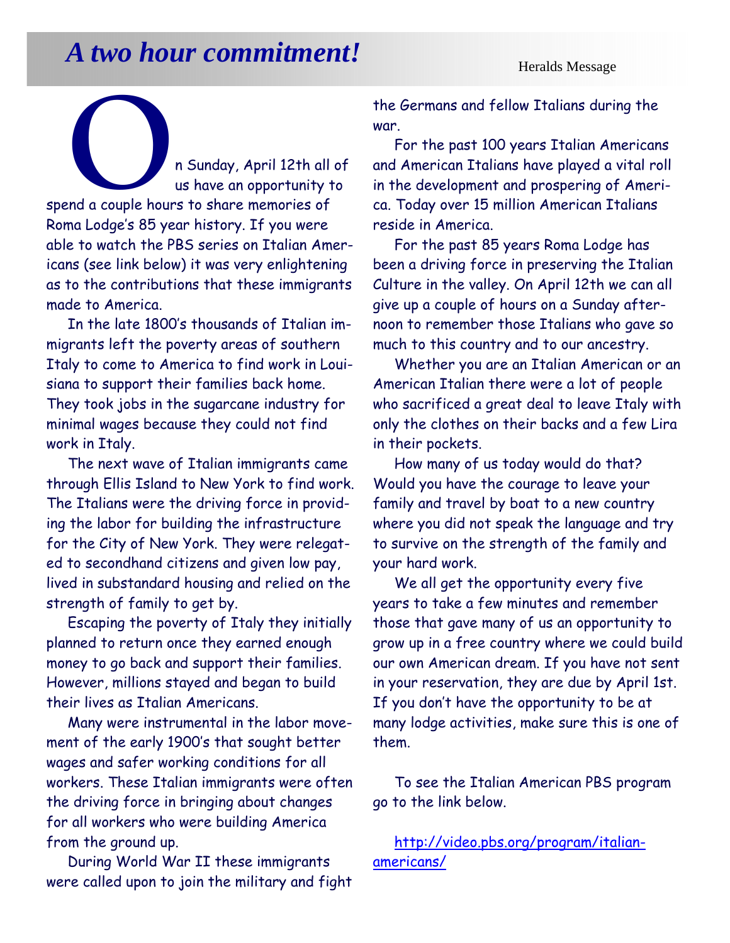# *A two hour commitment!* **Heralds Message**

**O PRAGALLAN ISLAND A SUNDAY, April 12th all of**<br>
us have an opportunity to<br>
spend a couple hours to share memories of us have an opportunity to Roma Lodge's 85 year history. If you were able to watch the PBS series on Italian Americans (see link below) it was very enlightening as to the contributions that these immigrants made to America.

In the late 1800's thousands of Italian immigrants left the poverty areas of southern Italy to come to America to find work in Louisiana to support their families back home. They took jobs in the sugarcane industry for minimal wages because they could not find work in Italy.

The next wave of Italian immigrants came through Ellis Island to New York to find work. The Italians were the driving force in providing the labor for building the infrastructure for the City of New York. They were relegated to secondhand citizens and given low pay, lived in substandard housing and relied on the strength of family to get by.

Escaping the poverty of Italy they initially planned to return once they earned enough money to go back and support their families. However, millions stayed and began to build their lives as Italian Americans.

Many were instrumental in the labor movement of the early 1900's that sought better wages and safer working conditions for all workers. These Italian immigrants were often the driving force in bringing about changes for all workers who were building America from the ground up.

During World War II these immigrants were called upon to join the military and fight the Germans and fellow Italians during the war.

For the past 100 years Italian Americans and American Italians have played a vital roll in the development and prospering of America. Today over 15 million American Italians reside in America.

For the past 85 years Roma Lodge has been a driving force in preserving the Italian Culture in the valley. On April 12th we can all give up a couple of hours on a Sunday afternoon to remember those Italians who gave so much to this country and to our ancestry.

Whether you are an Italian American or an American Italian there were a lot of people who sacrificed a great deal to leave Italy with only the clothes on their backs and a few Lira in their pockets.

How many of us today would do that? Would you have the courage to leave your family and travel by boat to a new country where you did not speak the language and try to survive on the strength of the family and your hard work.

We all get the opportunity every five years to take a few minutes and remember those that gave many of us an opportunity to grow up in a free country where we could build our own American dream. If you have not sent in your reservation, they are due by April 1st. If you don't have the opportunity to be at many lodge activities, make sure this is one of them.

To see the Italian American PBS program go to the link below.

http://video.pbs.org/program/italianamericans/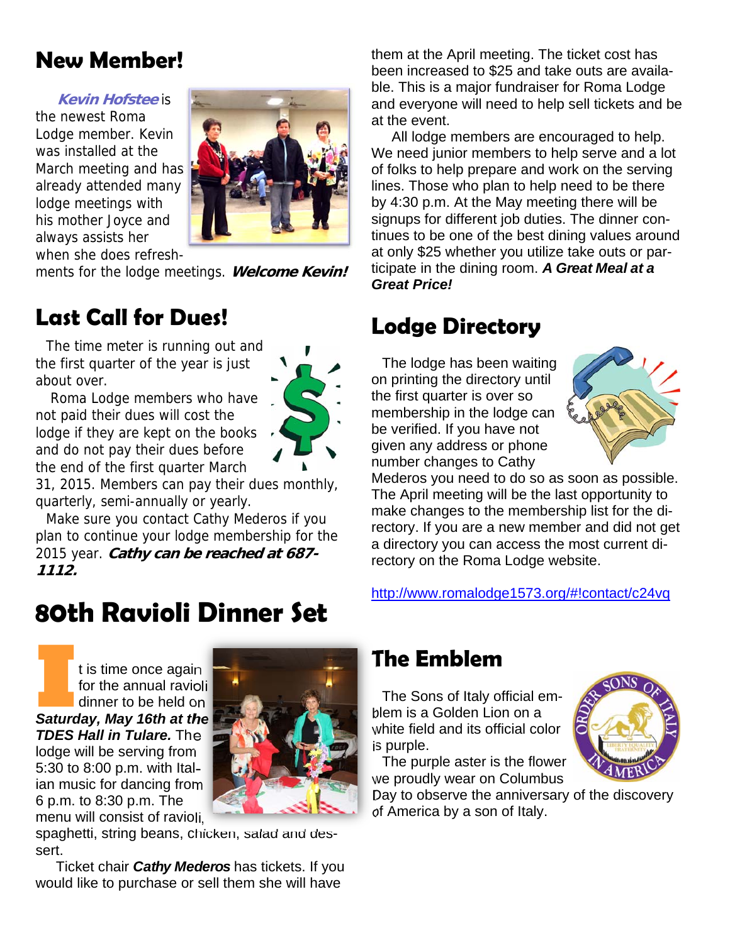## **New Member!**

#### **Kevin Hofstee** is

the newest Roma Lodge member. Kevin was installed at the March meeting and has already attended many lodge meetings with his mother Joyce and always assists her when she does refresh-



ments for the lodge meetings. **Welcome Kevin!** 

## **Last Call for Dues!**

The time meter is running out and the first quarter of the year is just about over.

 Roma Lodge members who have not paid their dues will cost the lodge if they are kept on the books and do not pay their dues before the end of the first quarter March



31, 2015. Members can pay their dues monthly, quarterly, semi-annually or yearly.

Make sure you contact Cathy Mederos if you plan to continue your lodge membership for the 2015 year. **Cathy can be reached at 687- 1112.** 

## **80th Ravioli Dinner Set**

**I I** is time once again<br> **I** for the annual raviolic dinner to be held on<br> **Saturday, May 16th at the** for the annual ravioli dinner to be held on *TDES Hall in Tulare.* The lodge will be serving from 5:30 to 8:00 p.m. with Italian music for dancing from 6 p.m. to 8:30 p.m. The menu will consist of ravioli,



Ticket chair *Cathy Mederos* has tickets. If you would like to purchase or sell them she will have

them at the April meeting. The ticket cost has been increased to \$25 and take outs are available. This is a major fundraiser for Roma Lodge and everyone will need to help sell tickets and be at the event.

All lodge members are encouraged to help. We need junior members to help serve and a lot of folks to help prepare and work on the serving lines. Those who plan to help need to be there by 4:30 p.m. At the May meeting there will be signups for different job duties. The dinner continues to be one of the best dining values around at only \$25 whether you utilize take outs or participate in the dining room. *A Great Meal at a Great Price!*

## **Lodge Directory**

The lodge has been waiting on printing the directory until the first quarter is over so membership in the lodge can be verified. If you have not given any address or phone number changes to Cathy



Mederos you need to do so as soon as possible. The April meeting will be the last opportunity to make changes to the membership list for the directory. If you are a new member and did not get a directory you can access the most current directory on the Roma Lodge website.

http://www.romalodge1573.org/#!contact/c24vq

## **The Emblem**

The Sons of Italy official emblem is a Golden Lion on a white field and its official color is purple.

The purple aster is the flower we proudly wear on Columbus